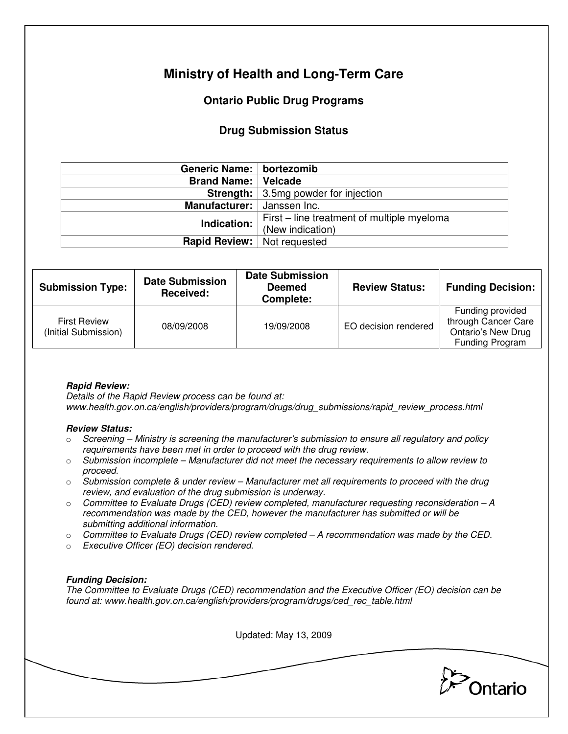# **Ministry of Health and Long-Term Care**

## **Ontario Public Drug Programs**

### **Drug Submission Status**

| Generic Name:   bortezomib         |                                             |  |  |
|------------------------------------|---------------------------------------------|--|--|
| <b>Brand Name: Velcade</b>         |                                             |  |  |
|                                    | <b>Strength:</b> 3.5mg powder for injection |  |  |
| Manufacturer:   Janssen Inc.       |                                             |  |  |
| Indication:                        | First – line treatment of multiple myeloma  |  |  |
|                                    | (New indication)                            |  |  |
| <b>Rapid Review:</b> Not requested |                                             |  |  |

| <b>Submission Type:</b>                     | <b>Date Submission</b><br>Received: | <b>Date Submission</b><br><b>Deemed</b><br>Complete: | <b>Review Status:</b> | <b>Funding Decision:</b>                                                                       |
|---------------------------------------------|-------------------------------------|------------------------------------------------------|-----------------------|------------------------------------------------------------------------------------------------|
| <b>First Review</b><br>(Initial Submission) | 08/09/2008                          | 19/09/2008                                           | EO decision rendered  | Funding provided<br>through Cancer Care<br><b>Ontario's New Drug</b><br><b>Funding Program</b> |

### **Rapid Review:**

Details of the Rapid Review process can be found at: www.health.gov.on.ca/english/providers/program/drugs/drug\_submissions/rapid\_review\_process.html

#### **Review Status:**

- $\circ$  Screening Ministry is screening the manufacturer's submission to ensure all regulatory and policy requirements have been met in order to proceed with the drug review.
- $\circ$  Submission incomplete Manufacturer did not meet the necessary requirements to allow review to proceed.
- $\circ$  Submission complete & under review Manufacturer met all requirements to proceed with the drug review, and evaluation of the drug submission is underway.
- $\circ$  Committee to Evaluate Drugs (CED) review completed, manufacturer requesting reconsideration  $-A$ recommendation was made by the CED, however the manufacturer has submitted or will be submitting additional information.
- $\circ$  Committee to Evaluate Drugs (CED) review completed A recommendation was made by the CED.
- o Executive Officer (EO) decision rendered.

### **Funding Decision:**

The Committee to Evaluate Drugs (CED) recommendation and the Executive Officer (EO) decision can be found at: www.health.gov.on.ca/english/providers/program/drugs/ced\_rec\_table.html

Updated: May 13, 2009

Ontario